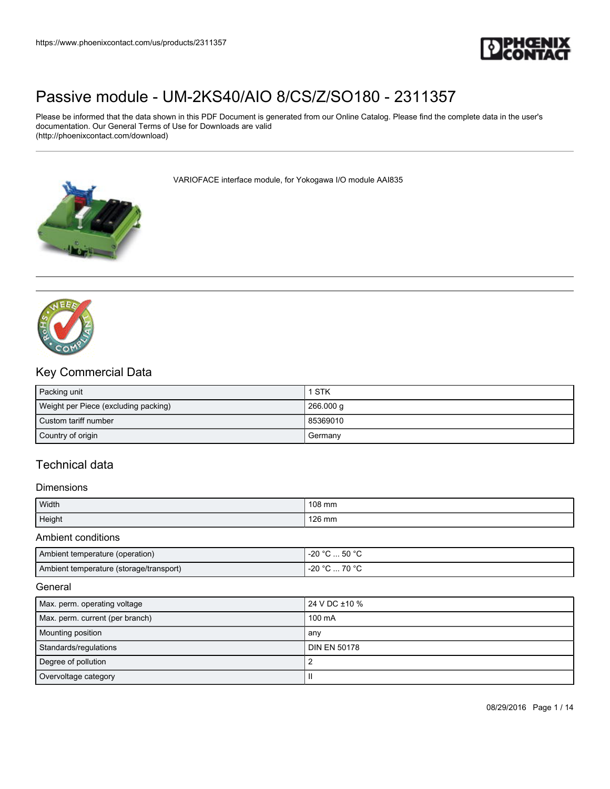

Please be informed that the data shown in this PDF Document is generated from our Online Catalog. Please find the complete data in the user's documentation. Our General Terms of Use for Downloads are valid (http://phoenixcontact.com/download)

VARIOFACE interface module, for Yokogawa I/O module AAI835





## Key Commercial Data

| Packing unit                         | 1 STK     |
|--------------------------------------|-----------|
| Weight per Piece (excluding packing) | 266.000 g |
| Custom tariff number                 | 85369010  |
| Country of origin                    | Germany   |

## Technical data

### Dimensions

| Width  | 108 mm |
|--------|--------|
| Height | 126 mm |

Ambient conditions

| Ambient temperature (operation)         | -20 °C  50 °C                           |  |  |
|-----------------------------------------|-----------------------------------------|--|--|
| Ambient temperature (storage/transport) | -20 °C<br>$^{\circ}$ C  70 $^{\circ}$ C |  |  |

**General** 

| Max. perm. operating voltage    | 24 V DC ±10 %       |  |  |
|---------------------------------|---------------------|--|--|
| Max. perm. current (per branch) | 100 mA              |  |  |
| <b>Mounting position</b>        | any                 |  |  |
| Standards/regulations           | <b>DIN EN 50178</b> |  |  |
| Degree of pollution             |                     |  |  |
| Overvoltage category            | H                   |  |  |

08/29/2016 Page 1 / 14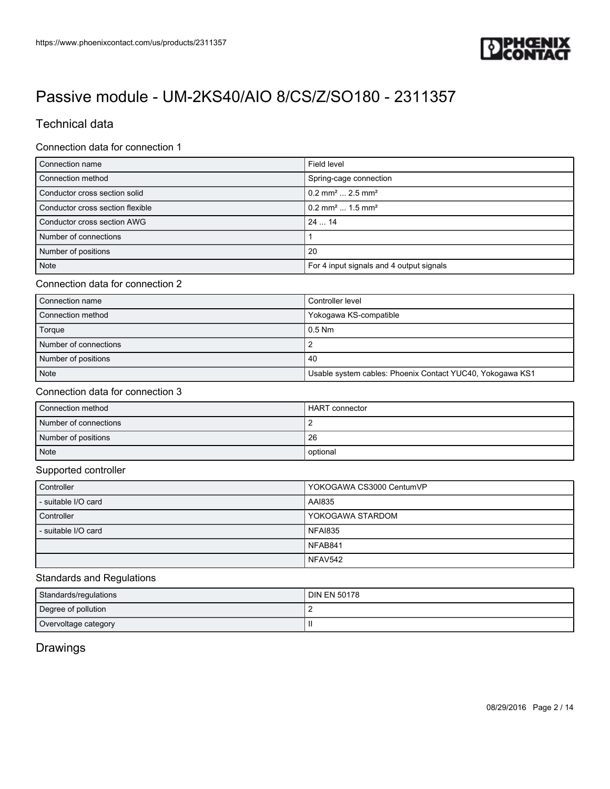

## Technical data

### Connection data for connection 1

| Connection name                  | Field level                               |
|----------------------------------|-------------------------------------------|
| Connection method                | Spring-cage connection                    |
| Conductor cross section solid    | $0.2$ mm <sup>2</sup> 2.5 mm <sup>2</sup> |
| Conductor cross section flexible | $0.2$ mm <sup>2</sup> 1.5 mm <sup>2</sup> |
| Conductor cross section AWG      | 2414                                      |
| Number of connections            |                                           |
| Number of positions              | 20                                        |
| <b>Note</b>                      | For 4 input signals and 4 output signals  |

#### Connection data for connection 2

| Connection name       | Controller level                                          |
|-----------------------|-----------------------------------------------------------|
| Connection method     | Yokogawa KS-compatible                                    |
| Torque                | $0.5$ Nm                                                  |
| Number of connections |                                                           |
| Number of positions   | 40                                                        |
| Note                  | Usable system cables: Phoenix Contact YUC40, Yokogawa KS1 |

#### Connection data for connection 3

| Connection method     | HART connector |
|-----------------------|----------------|
| Number of connections |                |
| Number of positions   | 26             |
| Note                  | optional       |

#### Supported controller

| Controller          | YOKOGAWA CS3000 CentumVP |
|---------------------|--------------------------|
| - suitable I/O card | AAI835                   |
| Controller          | YOKOGAWA STARDOM         |
| - suitable I/O card | <b>NFAI835</b>           |
|                     | NFAB841                  |
|                     | NFAV542                  |

## Standards and Regulations

| Standards/regulations | <b>DIN EN 50178</b> |  |  |
|-----------------------|---------------------|--|--|
| Degree of pollution   |                     |  |  |
| Overvoltage category  |                     |  |  |

## **Drawings**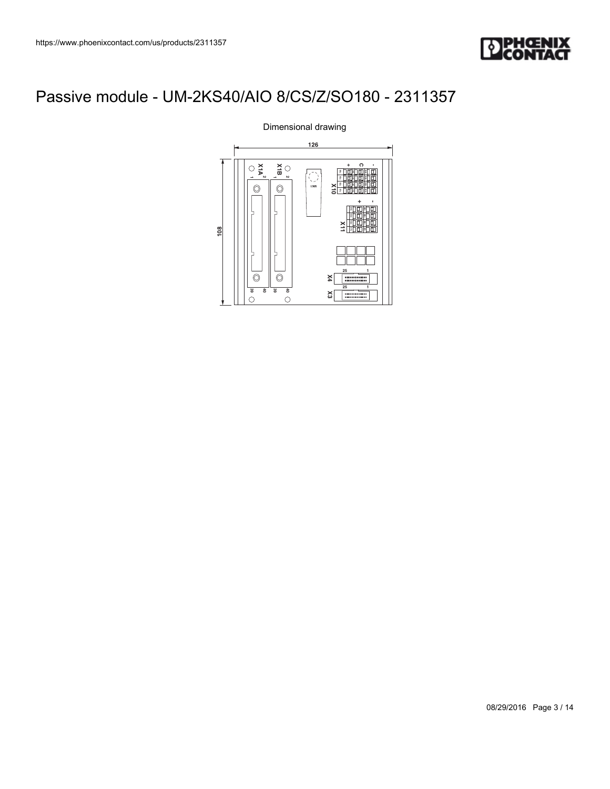



Dimensional drawing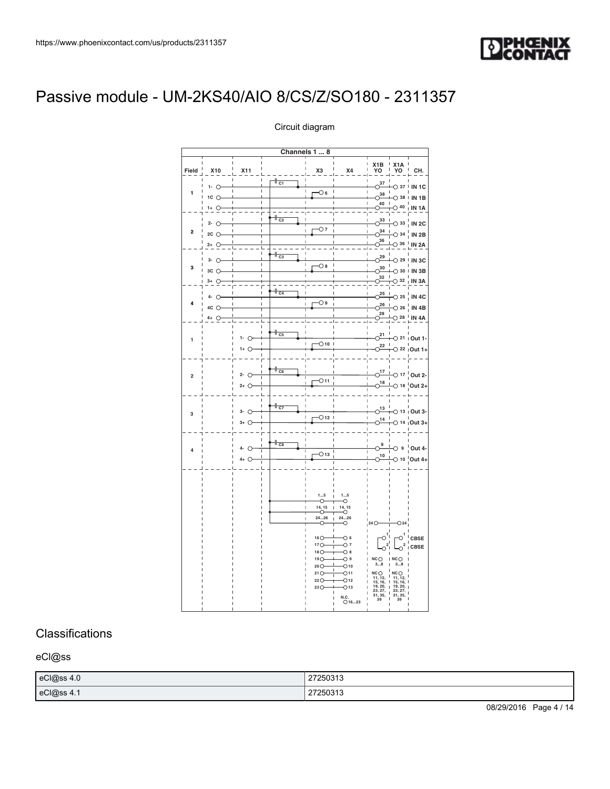

|                |                                                        |                                     |                                                                           | Channels 1  8                                                                                                 |                                                                                                                                                                |                                                                                                                      |                                                                                                                          |                                           |
|----------------|--------------------------------------------------------|-------------------------------------|---------------------------------------------------------------------------|---------------------------------------------------------------------------------------------------------------|----------------------------------------------------------------------------------------------------------------------------------------------------------------|----------------------------------------------------------------------------------------------------------------------|--------------------------------------------------------------------------------------------------------------------------|-------------------------------------------|
| Field          | <b>X10</b>                                             | X11                                 |                                                                           | X3                                                                                                            | X4                                                                                                                                                             | X1B<br>YO                                                                                                            | X <sub>1</sub> A<br>YO                                                                                                   | CH.                                       |
| 1              | $1 - 0$<br>$1C$ $O$                                    | Ï                                   | $\frac{1}{c_1}$<br>$\mathbf{I}$<br>$\mathbf{I}$                           | I<br>O 6                                                                                                      |                                                                                                                                                                | O <sup>37</sup><br>$\circ^{38}$                                                                                      | $\circ$ 37<br>$\bigcirc$ 38                                                                                              | IN <sub>1</sub> C<br><b>IN 1B</b>         |
|                | $1+$ $\circlearrowright$<br>$2 - 0$                    |                                     | $\frac{1}{1}$ <sub>C2</sub><br>$\mathbf{I}$                               |                                                                                                               |                                                                                                                                                                | $O^{40}$<br>$O^{33}$                                                                                                 | $\bigcirc$ 40<br>$\bigcirc$ 33                                                                                           | IN <sub>1</sub> A<br>IN <sub>2C</sub>     |
| 2              | $2C$ $\bigcirc$<br>$2+$ $\circlearrowright$            |                                     | $\mathbf{I}$<br>T<br>$\overline{1}$<br>$\overline{1}$                     | O 7<br>Ï                                                                                                      |                                                                                                                                                                | $\circ$ <sup>34</sup><br>$\circ$ <sup>36</sup>                                                                       | $\bigcirc$ 34<br>$\circ$ 36                                                                                              | <b>IN 2B</b><br><b>IN 2A</b>              |
| 3              | $3 - 0$<br>$3C$ $\bigcirc$                             |                                     | $\parallel$ <sub>C3</sub><br>$\mathbf{I}$<br>$\mathbf{I}$<br>$\mathbf{I}$ | $\circ$ 8                                                                                                     |                                                                                                                                                                | O <sup>29</sup><br>$O^{30}$<br>32                                                                                    | $\bigcirc$ 29<br>$\bigcirc$ 30                                                                                           | IN <sub>3C</sub><br>IN <sub>3B</sub>      |
|                | $3+$ $\circlearrowright$<br>$4 - 0$<br>$4C$ $\bigcirc$ |                                     | $\frac{1}{c_4}$<br>$\mathbf{I}$<br>T<br>$\mathsf I$                       | O۹<br>I                                                                                                       |                                                                                                                                                                | $\circ$<br>O <sup>25</sup><br>$O^{26}$                                                                               | $\bigcirc$ 32<br>$\circ$ 25<br>$\degree$ 26                                                                              | IN <sub>3</sub> A<br>IN 4C                |
|                | $4 + 0$                                                |                                     |                                                                           |                                                                                                               |                                                                                                                                                                | $\circ$ <sup>28</sup>                                                                                                | $\bigcirc$ 28                                                                                                            | <b>IN 4B</b><br>IN <sub>4</sub> A         |
| 1              |                                                        | $1 - 0$<br>$1+$ $\circlearrowright$ | $\frac{1}{\cos \theta}$                                                   | $\bigcirc$ 10                                                                                                 |                                                                                                                                                                | $O^{21}$<br>O <sup>22</sup>                                                                                          | $\overline{\circ}$ 21                                                                                                    | Out 1-<br>$O$ 22   Out 1+                 |
| $\overline{2}$ |                                                        | $2 - 0$<br>$2+$ $\circlearrowright$ | $\frac{1}{1-c_6}$<br>$\overline{1}$                                       | ī<br>$_{\bigcirc}$ 11                                                                                         |                                                                                                                                                                | $\circlearrowright17$<br>$O^{18}$                                                                                    | $\circ$ 17                                                                                                               | Out 2-<br>$\bigcirc$ 18 $\bigcirc$ Out 2+ |
| 3              |                                                        | 3- O<br>$3+$ $\bigcirc$             | $\frac{1}{c}$                                                             | Ï<br>O <sub>12</sub>                                                                                          |                                                                                                                                                                | $\circ$ <sup>13</sup><br>$0^{14}$                                                                                    |                                                                                                                          | $O$ 13   Out 3-<br>$O$ 14 $\mu$ Out 3+    |
| 4              |                                                        | $4 - 0$<br>$4+$ $\circlearrowright$ | $\frac{1}{1-c_8}$<br>Ï<br>$\overline{\phantom{a}}$                        | I<br>$\bigcirc$ 13                                                                                            |                                                                                                                                                                | 9<br>O<br>$O^{10}$                                                                                                   | $\circ$                                                                                                                  | Out 4-<br>$\bigcirc$ 10 $\bigcirc$ Out 4+ |
|                |                                                        |                                     |                                                                           | 15<br>↷<br>14, 15<br>↷<br>2426<br>O<br>$16O-$<br>$17O-$<br>18 <sub>O</sub><br>19O<br>20O<br>21O<br>22O<br>23O | 15<br>-0<br>14, 15<br>⊸<br>2426<br>-0<br>$\circ$<br>$\circ$ 7<br>$\circ$<br>O 9<br>$\bigcirc$ 10<br>O <sub>11</sub><br>$-012$<br>$\bigcirc$ 13<br>$N.C.$ 01623 | 24O<br>O<br>$\overline{\mathbf{c}}$<br>$N$ C $\bigcirc$<br>38<br>NCO<br>$11, 12, 15, 16, 19, 20, 23, 27, 31, 35, 39$ | O <sub>24</sub><br>$\circ$ <sup>1</sup><br>$\circ^2$<br>NCO<br>38<br>NCO<br>$11, 12, 15, 16, 19, 20, 23, 27, 31, 35, 39$ | CBSE<br>CBSE                              |

#### Circuit diagram

## **Classifications**

eCl@ss

| eCl@ss 4.0 | 27250313 |
|------------|----------|
| eCl@ss 4.1 | 27250313 |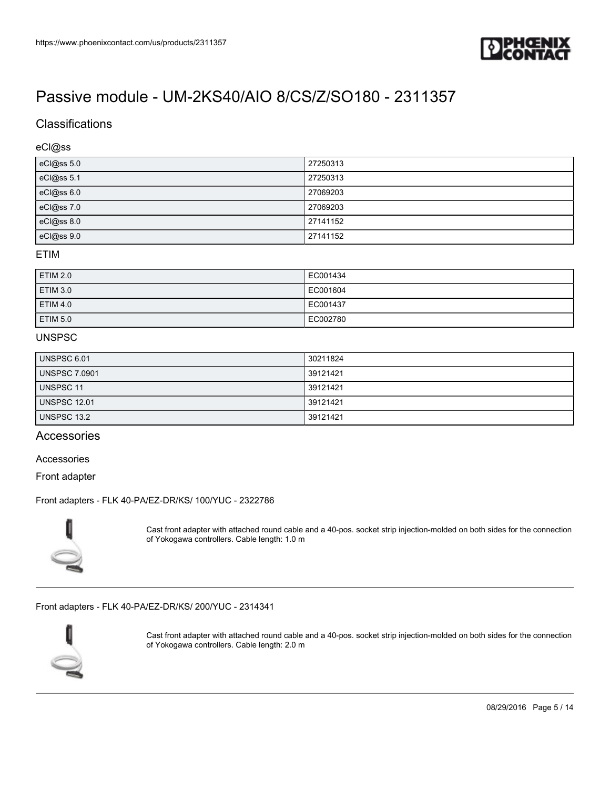

## **Classifications**

#### eCl@ss

| eCl@ss 5.0 | 27250313 |
|------------|----------|
| eCl@ss 5.1 | 27250313 |
| eCl@ss 6.0 | 27069203 |
| eCl@ss 7.0 | 27069203 |
| eCl@ss 8.0 | 27141152 |
| eCl@ss 9.0 | 27141152 |

### ETIM

| ETIM 2.0        | EC001434 |
|-----------------|----------|
| <b>ETIM 3.0</b> | EC001604 |
| ETIM 4.0        | EC001437 |
| ETIM 5.0        | EC002780 |

### UNSPSC

| UNSPSC 6.01          | 30211824 |
|----------------------|----------|
| <b>UNSPSC 7.0901</b> | 39121421 |
| UNSPSC 11            | 39121421 |
| <b>UNSPSC 12.01</b>  | 39121421 |
| UNSPSC 13.2          | 39121421 |

## **Accessories**

#### Accessories

Front adapter

#### [Front adapters - FLK 40-PA/EZ-DR/KS/ 100/YUC - 2322786](https://www.phoenixcontact.com/us/products/2322786)



Cast front adapter with attached round cable and a 40-pos. socket strip injection-molded on both sides for the connection of Yokogawa controllers. Cable length: 1.0 m

[Front adapters - FLK 40-PA/EZ-DR/KS/ 200/YUC - 2314341](https://www.phoenixcontact.com/us/products/2314341)



Cast front adapter with attached round cable and a 40-pos. socket strip injection-molded on both sides for the connection of Yokogawa controllers. Cable length: 2.0 m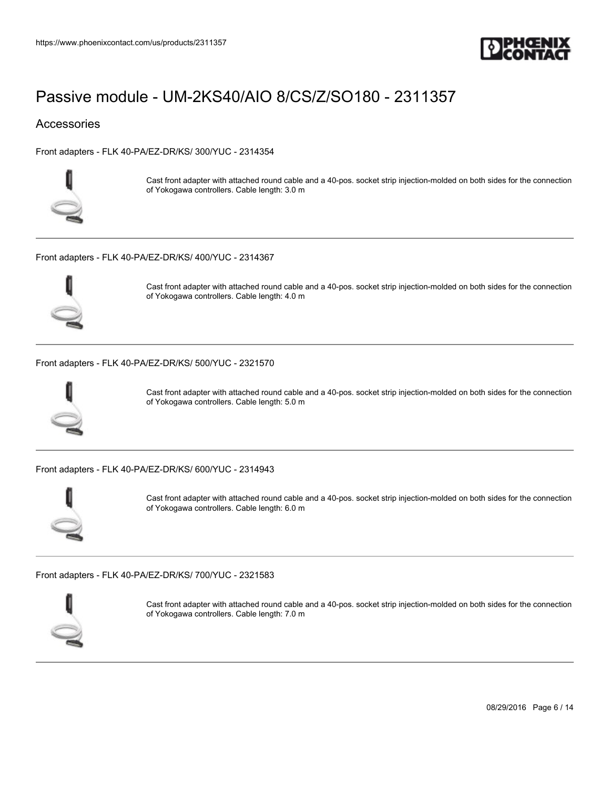

### **Accessories**

[Front adapters - FLK 40-PA/EZ-DR/KS/ 300/YUC - 2314354](https://www.phoenixcontact.com/us/products/2314354)



Cast front adapter with attached round cable and a 40-pos. socket strip injection-molded on both sides for the connection of Yokogawa controllers. Cable length: 3.0 m

[Front adapters - FLK 40-PA/EZ-DR/KS/ 400/YUC - 2314367](https://www.phoenixcontact.com/us/products/2314367)



Cast front adapter with attached round cable and a 40-pos. socket strip injection-molded on both sides for the connection of Yokogawa controllers. Cable length: 4.0 m

[Front adapters - FLK 40-PA/EZ-DR/KS/ 500/YUC - 2321570](https://www.phoenixcontact.com/us/products/2321570)



Cast front adapter with attached round cable and a 40-pos. socket strip injection-molded on both sides for the connection of Yokogawa controllers. Cable length: 5.0 m

[Front adapters - FLK 40-PA/EZ-DR/KS/ 600/YUC - 2314943](https://www.phoenixcontact.com/us/products/2314943)



Cast front adapter with attached round cable and a 40-pos. socket strip injection-molded on both sides for the connection of Yokogawa controllers. Cable length: 6.0 m

[Front adapters - FLK 40-PA/EZ-DR/KS/ 700/YUC - 2321583](https://www.phoenixcontact.com/us/products/2321583)



Cast front adapter with attached round cable and a 40-pos. socket strip injection-molded on both sides for the connection of Yokogawa controllers. Cable length: 7.0 m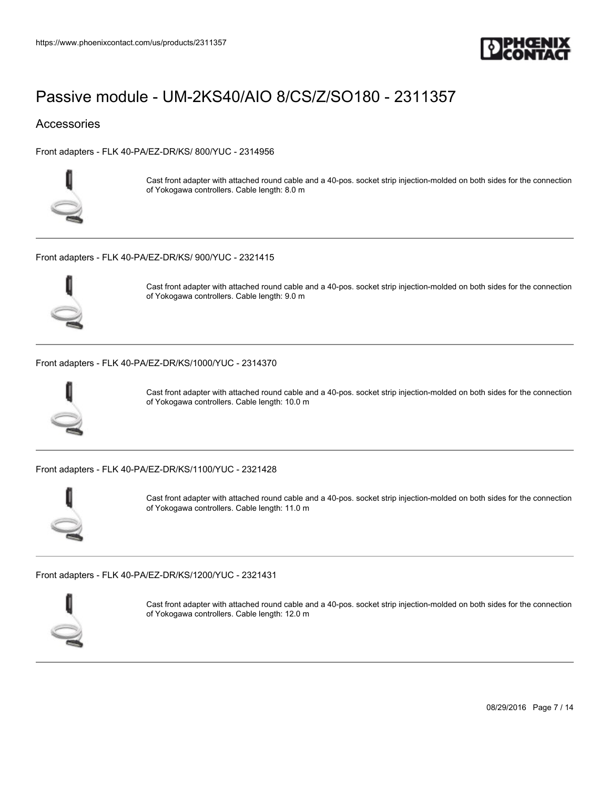

### **Accessories**

[Front adapters - FLK 40-PA/EZ-DR/KS/ 800/YUC - 2314956](https://www.phoenixcontact.com/us/products/2314956)



Cast front adapter with attached round cable and a 40-pos. socket strip injection-molded on both sides for the connection of Yokogawa controllers. Cable length: 8.0 m

[Front adapters - FLK 40-PA/EZ-DR/KS/ 900/YUC - 2321415](https://www.phoenixcontact.com/us/products/2321415)



Cast front adapter with attached round cable and a 40-pos. socket strip injection-molded on both sides for the connection of Yokogawa controllers. Cable length: 9.0 m

[Front adapters - FLK 40-PA/EZ-DR/KS/1000/YUC - 2314370](https://www.phoenixcontact.com/us/products/2314370)



Cast front adapter with attached round cable and a 40-pos. socket strip injection-molded on both sides for the connection of Yokogawa controllers. Cable length: 10.0 m

[Front adapters - FLK 40-PA/EZ-DR/KS/1100/YUC - 2321428](https://www.phoenixcontact.com/us/products/2321428)



Cast front adapter with attached round cable and a 40-pos. socket strip injection-molded on both sides for the connection of Yokogawa controllers. Cable length: 11.0 m

[Front adapters - FLK 40-PA/EZ-DR/KS/1200/YUC - 2321431](https://www.phoenixcontact.com/us/products/2321431)



Cast front adapter with attached round cable and a 40-pos. socket strip injection-molded on both sides for the connection of Yokogawa controllers. Cable length: 12.0 m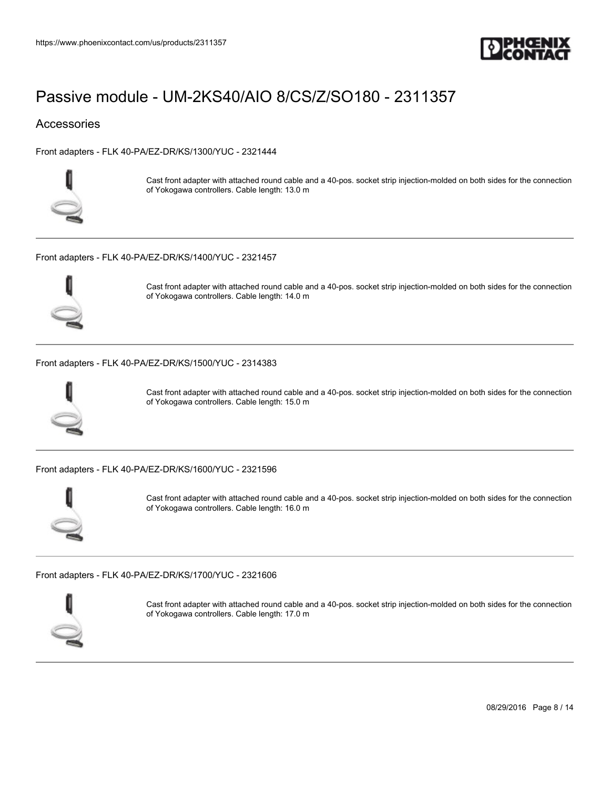

### **Accessories**

[Front adapters - FLK 40-PA/EZ-DR/KS/1300/YUC - 2321444](https://www.phoenixcontact.com/us/products/2321444)



Cast front adapter with attached round cable and a 40-pos. socket strip injection-molded on both sides for the connection of Yokogawa controllers. Cable length: 13.0 m

[Front adapters - FLK 40-PA/EZ-DR/KS/1400/YUC - 2321457](https://www.phoenixcontact.com/us/products/2321457)



Cast front adapter with attached round cable and a 40-pos. socket strip injection-molded on both sides for the connection of Yokogawa controllers. Cable length: 14.0 m

#### [Front adapters - FLK 40-PA/EZ-DR/KS/1500/YUC - 2314383](https://www.phoenixcontact.com/us/products/2314383)



Cast front adapter with attached round cable and a 40-pos. socket strip injection-molded on both sides for the connection of Yokogawa controllers. Cable length: 15.0 m

[Front adapters - FLK 40-PA/EZ-DR/KS/1600/YUC - 2321596](https://www.phoenixcontact.com/us/products/2321596)



Cast front adapter with attached round cable and a 40-pos. socket strip injection-molded on both sides for the connection of Yokogawa controllers. Cable length: 16.0 m

[Front adapters - FLK 40-PA/EZ-DR/KS/1700/YUC - 2321606](https://www.phoenixcontact.com/us/products/2321606)



Cast front adapter with attached round cable and a 40-pos. socket strip injection-molded on both sides for the connection of Yokogawa controllers. Cable length: 17.0 m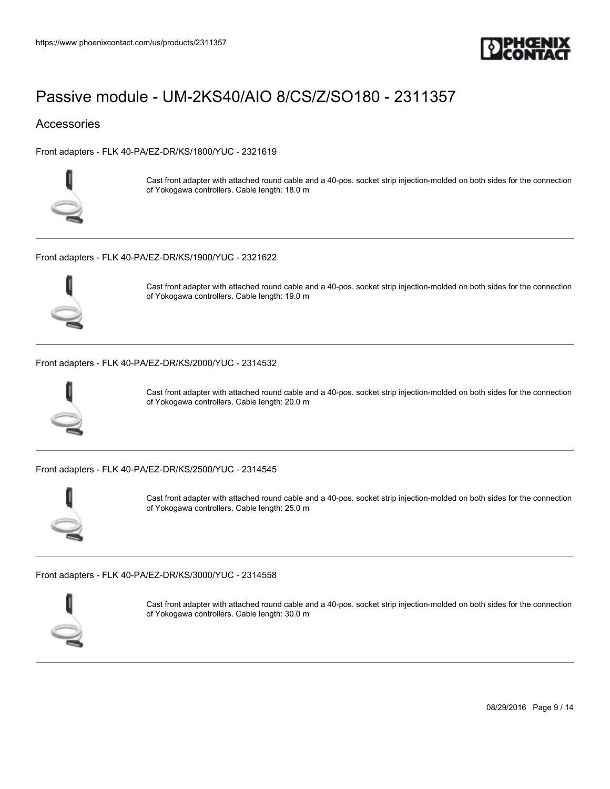

### **Accessories**

[Front adapters - FLK 40-PA/EZ-DR/KS/1800/YUC - 2321619](https://www.phoenixcontact.com/us/products/2321619)



Cast front adapter with attached round cable and a 40-pos. socket strip injection-molded on both sides for the connection of Yokogawa controllers. Cable length: 18.0 m

[Front adapters - FLK 40-PA/EZ-DR/KS/1900/YUC - 2321622](https://www.phoenixcontact.com/us/products/2321622)



Cast front adapter with attached round cable and a 40-pos. socket strip injection-molded on both sides for the connection of Yokogawa controllers. Cable length: 19.0 m

[Front adapters - FLK 40-PA/EZ-DR/KS/2000/YUC - 2314532](https://www.phoenixcontact.com/us/products/2314532)



Cast front adapter with attached round cable and a 40-pos. socket strip injection-molded on both sides for the connection of Yokogawa controllers. Cable length: 20.0 m

[Front adapters - FLK 40-PA/EZ-DR/KS/2500/YUC - 2314545](https://www.phoenixcontact.com/us/products/2314545)



Cast front adapter with attached round cable and a 40-pos. socket strip injection-molded on both sides for the connection of Yokogawa controllers. Cable length: 25.0 m

[Front adapters - FLK 40-PA/EZ-DR/KS/3000/YUC - 2314558](https://www.phoenixcontact.com/us/products/2314558)



Cast front adapter with attached round cable and a 40-pos. socket strip injection-molded on both sides for the connection of Yokogawa controllers. Cable length: 30.0 m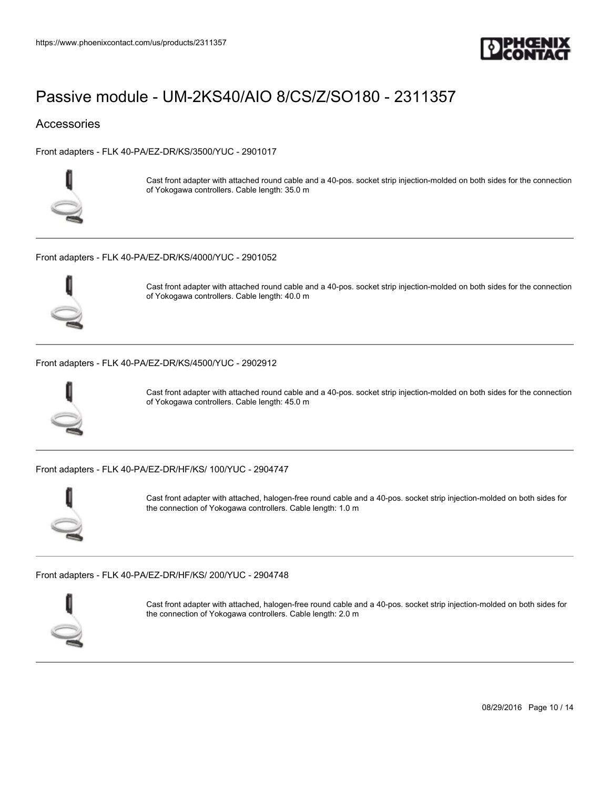

### **Accessories**

[Front adapters - FLK 40-PA/EZ-DR/KS/3500/YUC - 2901017](https://www.phoenixcontact.com/us/products/2901017)



Cast front adapter with attached round cable and a 40-pos. socket strip injection-molded on both sides for the connection of Yokogawa controllers. Cable length: 35.0 m

[Front adapters - FLK 40-PA/EZ-DR/KS/4000/YUC - 2901052](https://www.phoenixcontact.com/us/products/2901052)



Cast front adapter with attached round cable and a 40-pos. socket strip injection-molded on both sides for the connection of Yokogawa controllers. Cable length: 40.0 m

#### [Front adapters - FLK 40-PA/EZ-DR/KS/4500/YUC - 2902912](https://www.phoenixcontact.com/us/products/2902912)



Cast front adapter with attached round cable and a 40-pos. socket strip injection-molded on both sides for the connection of Yokogawa controllers. Cable length: 45.0 m

[Front adapters - FLK 40-PA/EZ-DR/HF/KS/ 100/YUC - 2904747](https://www.phoenixcontact.com/us/products/2904747)



Cast front adapter with attached, halogen-free round cable and a 40-pos. socket strip injection-molded on both sides for the connection of Yokogawa controllers. Cable length: 1.0 m

[Front adapters - FLK 40-PA/EZ-DR/HF/KS/ 200/YUC - 2904748](https://www.phoenixcontact.com/us/products/2904748)



Cast front adapter with attached, halogen-free round cable and a 40-pos. socket strip injection-molded on both sides for the connection of Yokogawa controllers. Cable length: 2.0 m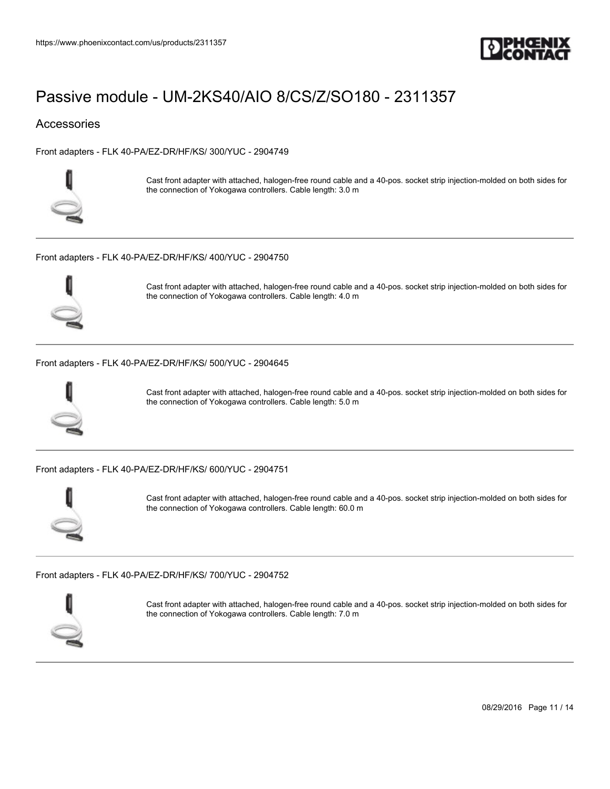

### **Accessories**

[Front adapters - FLK 40-PA/EZ-DR/HF/KS/ 300/YUC - 2904749](https://www.phoenixcontact.com/us/products/2904749)



Cast front adapter with attached, halogen-free round cable and a 40-pos. socket strip injection-molded on both sides for the connection of Yokogawa controllers. Cable length: 3.0 m

[Front adapters - FLK 40-PA/EZ-DR/HF/KS/ 400/YUC - 2904750](https://www.phoenixcontact.com/us/products/2904750)



Cast front adapter with attached, halogen-free round cable and a 40-pos. socket strip injection-molded on both sides for the connection of Yokogawa controllers. Cable length: 4.0 m

#### [Front adapters - FLK 40-PA/EZ-DR/HF/KS/ 500/YUC - 2904645](https://www.phoenixcontact.com/us/products/2904645)



Cast front adapter with attached, halogen-free round cable and a 40-pos. socket strip injection-molded on both sides for the connection of Yokogawa controllers. Cable length: 5.0 m

[Front adapters - FLK 40-PA/EZ-DR/HF/KS/ 600/YUC - 2904751](https://www.phoenixcontact.com/us/products/2904751)



Cast front adapter with attached, halogen-free round cable and a 40-pos. socket strip injection-molded on both sides for the connection of Yokogawa controllers. Cable length: 60.0 m

[Front adapters - FLK 40-PA/EZ-DR/HF/KS/ 700/YUC - 2904752](https://www.phoenixcontact.com/us/products/2904752)



Cast front adapter with attached, halogen-free round cable and a 40-pos. socket strip injection-molded on both sides for the connection of Yokogawa controllers. Cable length: 7.0 m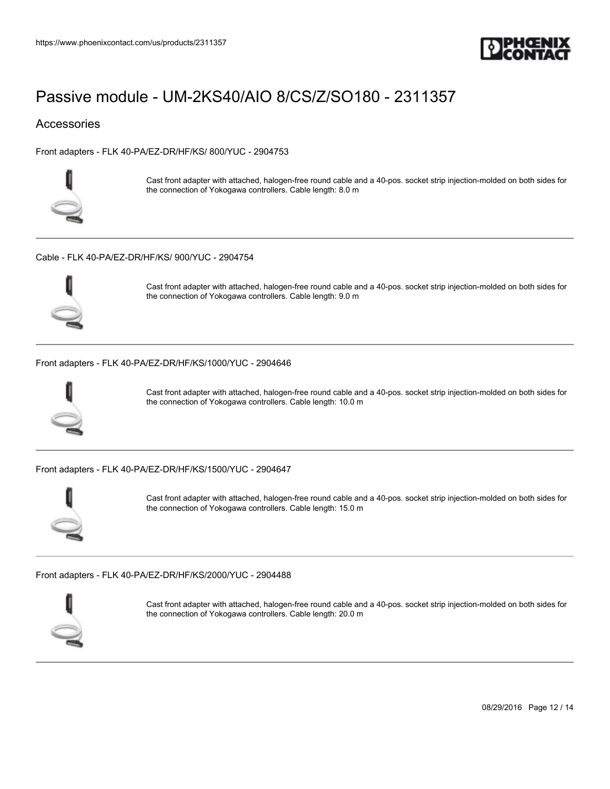

### **Accessories**

[Front adapters - FLK 40-PA/EZ-DR/HF/KS/ 800/YUC - 2904753](https://www.phoenixcontact.com/us/products/2904753)



Cast front adapter with attached, halogen-free round cable and a 40-pos. socket strip injection-molded on both sides for the connection of Yokogawa controllers. Cable length: 8.0 m

#### [Cable - FLK 40-PA/EZ-DR/HF/KS/ 900/YUC - 2904754](https://www.phoenixcontact.com/us/products/2904754)



Cast front adapter with attached, halogen-free round cable and a 40-pos. socket strip injection-molded on both sides for the connection of Yokogawa controllers. Cable length: 9.0 m

#### [Front adapters - FLK 40-PA/EZ-DR/HF/KS/1000/YUC - 2904646](https://www.phoenixcontact.com/us/products/2904646)



Cast front adapter with attached, halogen-free round cable and a 40-pos. socket strip injection-molded on both sides for the connection of Yokogawa controllers. Cable length: 10.0 m

[Front adapters - FLK 40-PA/EZ-DR/HF/KS/1500/YUC - 2904647](https://www.phoenixcontact.com/us/products/2904647)



Cast front adapter with attached, halogen-free round cable and a 40-pos. socket strip injection-molded on both sides for the connection of Yokogawa controllers. Cable length: 15.0 m

[Front adapters - FLK 40-PA/EZ-DR/HF/KS/2000/YUC - 2904488](https://www.phoenixcontact.com/us/products/2904488)



Cast front adapter with attached, halogen-free round cable and a 40-pos. socket strip injection-molded on both sides for the connection of Yokogawa controllers. Cable length: 20.0 m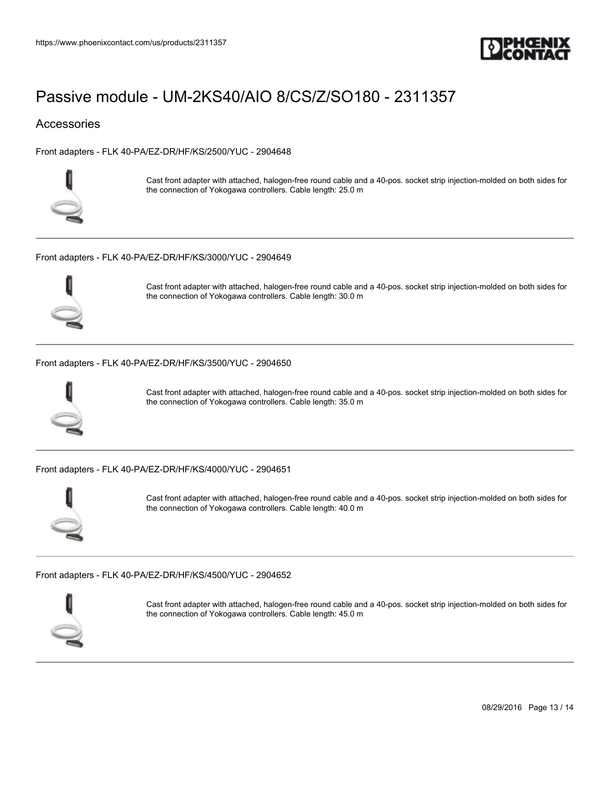

### **Accessories**

[Front adapters - FLK 40-PA/EZ-DR/HF/KS/2500/YUC - 2904648](https://www.phoenixcontact.com/us/products/2904648)



Cast front adapter with attached, halogen-free round cable and a 40-pos. socket strip injection-molded on both sides for the connection of Yokogawa controllers. Cable length: 25.0 m

[Front adapters - FLK 40-PA/EZ-DR/HF/KS/3000/YUC - 2904649](https://www.phoenixcontact.com/us/products/2904649)



Cast front adapter with attached, halogen-free round cable and a 40-pos. socket strip injection-molded on both sides for the connection of Yokogawa controllers. Cable length: 30.0 m

#### [Front adapters - FLK 40-PA/EZ-DR/HF/KS/3500/YUC - 2904650](https://www.phoenixcontact.com/us/products/2904650)



Cast front adapter with attached, halogen-free round cable and a 40-pos. socket strip injection-molded on both sides for the connection of Yokogawa controllers. Cable length: 35.0 m

[Front adapters - FLK 40-PA/EZ-DR/HF/KS/4000/YUC - 2904651](https://www.phoenixcontact.com/us/products/2904651)



Cast front adapter with attached, halogen-free round cable and a 40-pos. socket strip injection-molded on both sides for the connection of Yokogawa controllers. Cable length: 40.0 m

[Front adapters - FLK 40-PA/EZ-DR/HF/KS/4500/YUC - 2904652](https://www.phoenixcontact.com/us/products/2904652)



Cast front adapter with attached, halogen-free round cable and a 40-pos. socket strip injection-molded on both sides for the connection of Yokogawa controllers. Cable length: 45.0 m